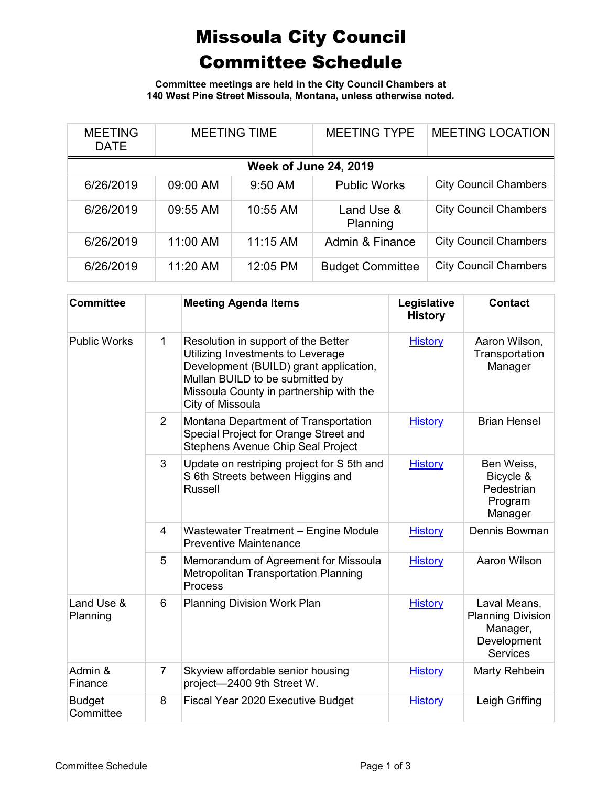## Missoula City Council Committee Schedule

**Committee meetings are held in the City Council Chambers at 140 West Pine Street Missoula, Montana, unless otherwise noted.**

| <b>MEETING</b><br><b>DATE</b> | <b>MEETING TIME</b> |            | <b>MEETING TYPE</b>     | <b>MEETING LOCATION</b>      |  |
|-------------------------------|---------------------|------------|-------------------------|------------------------------|--|
| <b>Week of June 24, 2019</b>  |                     |            |                         |                              |  |
| 6/26/2019                     | 09:00 AM            | 9:50 AM    | <b>Public Works</b>     | <b>City Council Chambers</b> |  |
| 6/26/2019                     | 09:55 AM            | 10:55 AM   | Land Use &<br>Planning  | <b>City Council Chambers</b> |  |
| 6/26/2019                     | 11:00 AM            | $11:15$ AM | Admin & Finance         | <b>City Council Chambers</b> |  |
| 6/26/2019                     | 11:20 AM            | 12:05 PM   | <b>Budget Committee</b> | <b>City Council Chambers</b> |  |

| <b>Committee</b>           |                | <b>Meeting Agenda Items</b>                                                                                                                                                                                          | Legislative<br><b>History</b> | <b>Contact</b>                                                                         |
|----------------------------|----------------|----------------------------------------------------------------------------------------------------------------------------------------------------------------------------------------------------------------------|-------------------------------|----------------------------------------------------------------------------------------|
| <b>Public Works</b>        | 1              | Resolution in support of the Better<br>Utilizing Investments to Leverage<br>Development (BUILD) grant application,<br>Mullan BUILD to be submitted by<br>Missoula County in partnership with the<br>City of Missoula | <b>History</b>                | Aaron Wilson,<br>Transportation<br>Manager                                             |
|                            | $\overline{2}$ | Montana Department of Transportation<br>Special Project for Orange Street and<br>Stephens Avenue Chip Seal Project                                                                                                   | <b>History</b>                | <b>Brian Hensel</b>                                                                    |
|                            | 3              | Update on restriping project for S 5th and<br>S 6th Streets between Higgins and<br><b>Russell</b>                                                                                                                    | <b>History</b>                | Ben Weiss,<br>Bicycle &<br>Pedestrian<br>Program<br>Manager                            |
|                            | $\overline{4}$ | Wastewater Treatment - Engine Module<br><b>Preventive Maintenance</b>                                                                                                                                                | <b>History</b>                | Dennis Bowman                                                                          |
|                            | 5              | Memorandum of Agreement for Missoula<br>Metropolitan Transportation Planning<br>Process                                                                                                                              | <b>History</b>                | Aaron Wilson                                                                           |
| Land Use &<br>Planning     | 6              | <b>Planning Division Work Plan</b>                                                                                                                                                                                   | <b>History</b>                | Laval Means,<br><b>Planning Division</b><br>Manager,<br>Development<br><b>Services</b> |
| Admin &<br>Finance         | $\overline{7}$ | Skyview affordable senior housing<br>project-2400 9th Street W.                                                                                                                                                      | <b>History</b>                | Marty Rehbein                                                                          |
| <b>Budget</b><br>Committee | 8              | Fiscal Year 2020 Executive Budget                                                                                                                                                                                    | <b>History</b>                | Leigh Griffing                                                                         |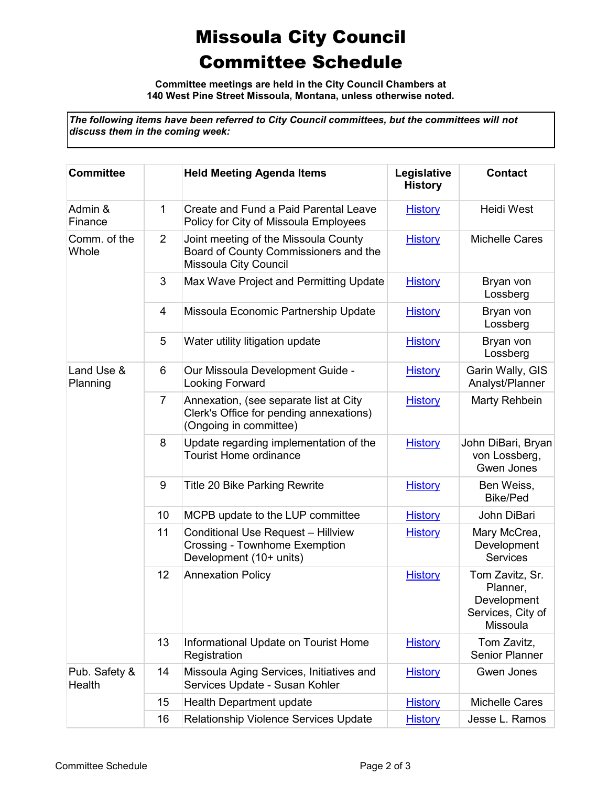## Missoula City Council Committee Schedule

**Committee meetings are held in the City Council Chambers at 140 West Pine Street Missoula, Montana, unless otherwise noted.**

*The following items have been referred to City Council committees, but the committees will not discuss them in the coming week:*

| <b>Committee</b>        |                | <b>Held Meeting Agenda Items</b>                                                                             | Legislative<br><b>History</b> | <b>Contact</b>                                                              |
|-------------------------|----------------|--------------------------------------------------------------------------------------------------------------|-------------------------------|-----------------------------------------------------------------------------|
| Admin &<br>Finance      | 1              | Create and Fund a Paid Parental Leave<br>Policy for City of Missoula Employees                               | <b>History</b>                | <b>Heidi West</b>                                                           |
| Comm. of the<br>Whole   | $\overline{2}$ | Joint meeting of the Missoula County<br>Board of County Commissioners and the<br>Missoula City Council       | <b>History</b>                | <b>Michelle Cares</b>                                                       |
|                         | 3              | Max Wave Project and Permitting Update                                                                       | <b>History</b>                | Bryan von<br>Lossberg                                                       |
|                         | 4              | Missoula Economic Partnership Update                                                                         | <b>History</b>                | Bryan von<br>Lossberg                                                       |
|                         | 5              | Water utility litigation update                                                                              | <b>History</b>                | Bryan von<br>Lossberg                                                       |
| Land Use &<br>Planning  | 6              | Our Missoula Development Guide -<br>Looking Forward                                                          | <b>History</b>                | Garin Wally, GIS<br>Analyst/Planner                                         |
|                         | 7              | Annexation, (see separate list at City<br>Clerk's Office for pending annexations)<br>(Ongoing in committee)  | <b>History</b>                | Marty Rehbein                                                               |
|                         | 8              | Update regarding implementation of the<br><b>Tourist Home ordinance</b>                                      | <b>History</b>                | John DiBari, Bryan<br>von Lossberg,<br>Gwen Jones                           |
|                         | 9              | <b>Title 20 Bike Parking Rewrite</b>                                                                         | <b>History</b>                | Ben Weiss,<br>Bike/Ped                                                      |
|                         | 10             | MCPB update to the LUP committee                                                                             | <b>History</b>                | John DiBari                                                                 |
|                         | 11             | <b>Conditional Use Request - Hillview</b><br><b>Crossing - Townhome Exemption</b><br>Development (10+ units) | <b>History</b>                | Mary McCrea,<br>Development<br><b>Services</b>                              |
|                         | 12             | <b>Annexation Policy</b>                                                                                     | <b>History</b>                | Tom Zavitz, Sr.<br>Planner,<br>Development<br>Services, City of<br>Missoula |
|                         | 13             | Informational Update on Tourist Home<br>Registration                                                         | <b>History</b>                | Tom Zavitz,<br>Senior Planner                                               |
| Pub. Safety &<br>Health | 14             | Missoula Aging Services, Initiatives and<br>Services Update - Susan Kohler                                   | <b>History</b>                | Gwen Jones                                                                  |
|                         | 15             | Health Department update                                                                                     | <b>History</b>                | <b>Michelle Cares</b>                                                       |
|                         | 16             | <b>Relationship Violence Services Update</b>                                                                 | <b>History</b>                | Jesse L. Ramos                                                              |